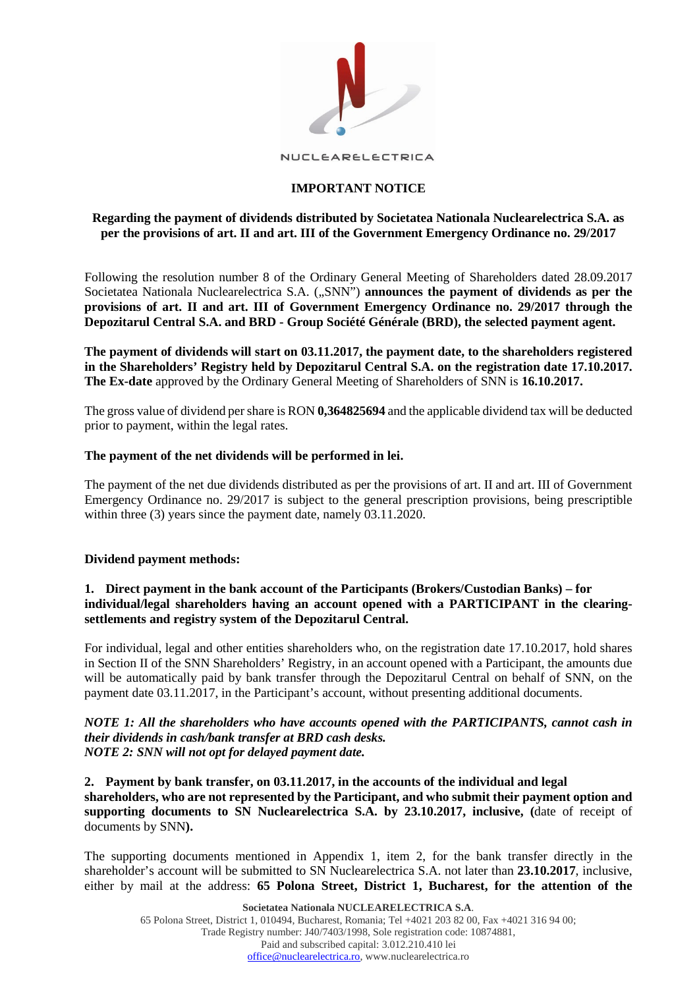

NUCLEARELECTRICA

# **IMPORTANT NOTICE**

# **Regarding the payment of dividends distributed by Societatea Nationala Nuclearelectrica S.A. as per the provisions of art. II and art. III of the Government Emergency Ordinance no. 29/2017**

Following the resolution number 8 of the Ordinary General Meeting of Shareholders dated 28.09.2017 Societatea Nationala Nuclearelectrica S.A. ("SNN") **announces the payment of dividends as per the provisions of art. II and art. III of Government Emergency Ordinance no. 29/2017 through the Depozitarul Central S.A. and BRD - Group Société Générale (BRD), the selected payment agent.**

**The payment of dividends will start on 03.11.2017, the payment date, to the shareholders registered in the Shareholders' Registry held by Depozitarul Central S.A. on the registration date 17.10.2017. The Ex-date** approved by the Ordinary General Meeting of Shareholders of SNN is **16.10.2017.**

The gross value of dividend per share is RON **0,364825694** and the applicable dividend tax will be deducted prior to payment, within the legal rates.

## **The payment of the net dividends will be performed in lei.**

The payment of the net due dividends distributed as per the provisions of art. II and art. III of Government Emergency Ordinance no. 29/2017 is subject to the general prescription provisions, being prescriptible within three (3) years since the payment date, namely 03.11.2020.

## **Dividend payment methods:**

## **1. Direct payment in the bank account of the Participants (Brokers/Custodian Banks) – for individual/legal shareholders having an account opened with a PARTICIPANT in the clearingsettlements and registry system of the Depozitarul Central.**

For individual, legal and other entities shareholders who, on the registration date 17.10.2017, hold shares in Section II of the SNN Shareholders' Registry, in an account opened with a Participant, the amounts due will be automatically paid by bank transfer through the Depozitarul Central on behalf of SNN, on the payment date 03.11.2017, in the Participant's account, without presenting additional documents.

## *NOTE 1: All the shareholders who have accounts opened with the PARTICIPANTS, cannot cash in their dividends in cash/bank transfer at BRD cash desks. NOTE 2: SNN will not opt for delayed payment date.*

**2. Payment by bank transfer, on 03.11.2017, in the accounts of the individual and legal shareholders, who are not represented by the Participant, and who submit their payment option and supporting documents to SN Nuclearelectrica S.A. by 23.10.2017, inclusive, (**date of receipt of documents by SNN**).**

The supporting documents mentioned in Appendix 1, item 2, for the bank transfer directly in the shareholder's account will be submitted to SN Nuclearelectrica S.A. not later than **23.10.2017**, inclusive, either by mail at the address: **65 Polona Street, District 1, Bucharest, for the attention of the**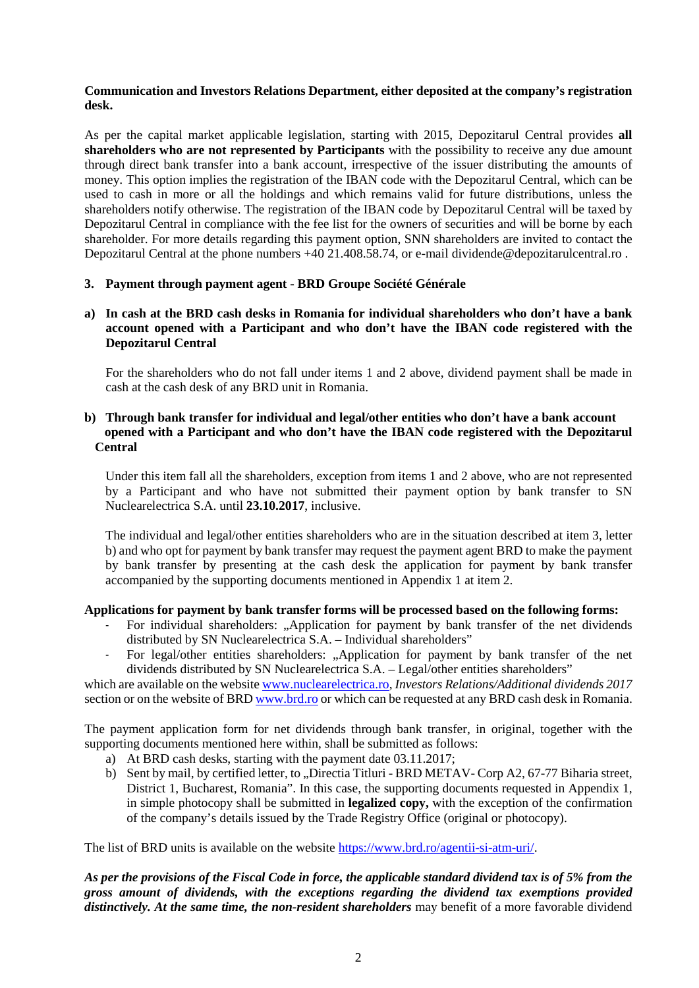## **Communication and Investors Relations Department, either deposited at the company's registration desk.**

As per the capital market applicable legislation, starting with 2015, Depozitarul Central provides **all shareholders who are not represented by Participants** with the possibility to receive any due amount through direct bank transfer into a bank account, irrespective of the issuer distributing the amounts of money. This option implies the registration of the IBAN code with the Depozitarul Central, which can be used to cash in more or all the holdings and which remains valid for future distributions, unless the shareholders notify otherwise. The registration of the IBAN code by Depozitarul Central will be taxed by Depozitarul Central in compliance with the fee list for the owners of securities and will be borne by each shareholder. For more details regarding this payment option, SNN shareholders are invited to contact the Depozitarul Central at the phone numbers +40 21.408.58.74, or e-mail dividende@depozitarulcentral.ro .

# **3. Payment through payment agent - BRD Groupe Société Générale**

## **a) In cash at the BRD cash desks in Romania for individual shareholders who don't have a bank account opened with a Participant and who don't have the IBAN code registered with the Depozitarul Central**

For the shareholders who do not fall under items 1 and 2 above, dividend payment shall be made in cash at the cash desk of any BRD unit in Romania.

## **b) Through bank transfer for individual and legal/other entities who don't have a bank account opened with a Participant and who don't have the IBAN code registered with the Depozitarul Central**

Under this item fall all the shareholders, exception from items 1 and 2 above, who are not represented by a Participant and who have not submitted their payment option by bank transfer to SN Nuclearelectrica S.A. until **23.10.2017**, inclusive.

The individual and legal/other entities shareholders who are in the situation described at item 3, letter b) and who opt for payment by bank transfer may request the payment agent BRD to make the payment by bank transfer by presenting at the cash desk the application for payment by bank transfer accompanied by the supporting documents mentioned in Appendix 1 at item 2.

# **Applications for payment by bank transfer forms will be processed based on the following forms:**

- For individual shareholders: "Application for payment by bank transfer of the net dividends distributed by SN Nuclearelectrica S.A. – Individual shareholders"
- For legal/other entities shareholders: "Application for payment by bank transfer of the net dividends distributed by SN Nuclearelectrica S.A. – Legal/other entities shareholders"

which are available on the websit[e www.nuclearelectrica.ro,](http://www.nuclearelectrica.ro/) *Investors Relations/Additional dividends 2017* section or on the website of BR[D www.brd.ro](http://www.brd.ro/) or which can be requested at any BRD cash desk in Romania.

The payment application form for net dividends through bank transfer, in original, together with the supporting documents mentioned here within, shall be submitted as follows:

- a) At BRD cash desks, starting with the payment date 03.11.2017;
- b) Sent by mail, by certified letter, to "Directia Titluri BRD METAV- Corp A2, 67-77 Biharia street, District 1, Bucharest, Romania". In this case, the supporting documents requested in Appendix 1, in simple photocopy shall be submitted in **legalized copy,** with the exception of the confirmation of the company's details issued by the Trade Registry Office (original or photocopy).

The list of BRD units is available on the website [https://www.brd.ro/agentii-si-atm-uri/.](https://www.brd.ro/instrumente-utile/agentii-si-atm-uri/)

*As per the provisions of the Fiscal Code in force, the applicable standard dividend tax is of 5% from the gross amount of dividends, with the exceptions regarding the dividend tax exemptions provided distinctively. At the same time, the non-resident shareholders* may benefit of a more favorable dividend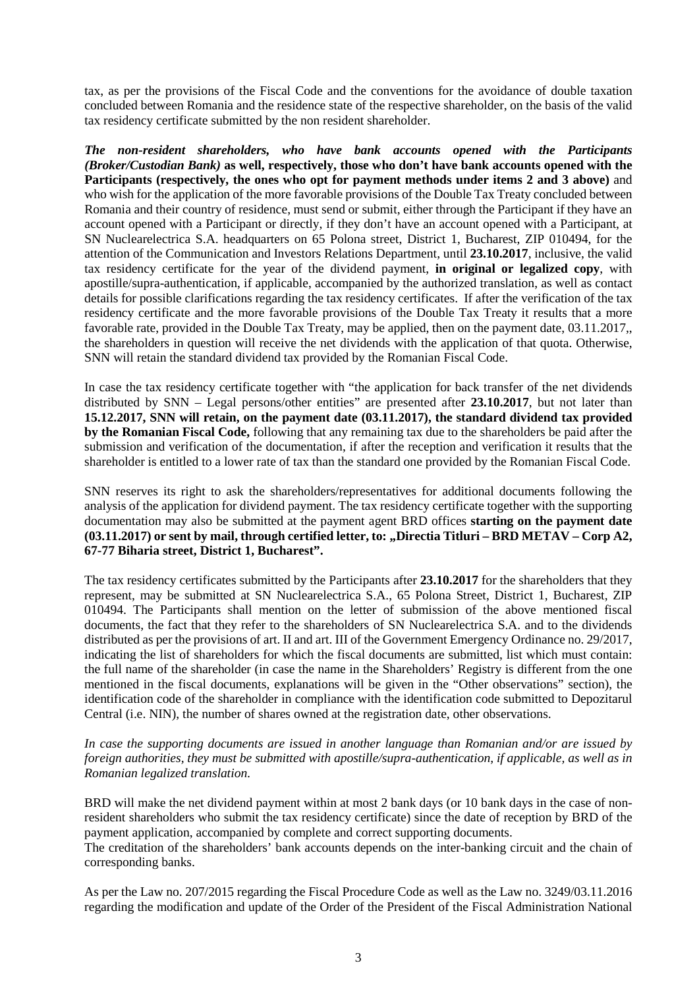tax, as per the provisions of the Fiscal Code and the conventions for the avoidance of double taxation concluded between Romania and the residence state of the respective shareholder, on the basis of the valid tax residency certificate submitted by the non resident shareholder.

*The non-resident shareholders, who have bank accounts opened with the Participants (Broker/Custodian Bank)* **as well, respectively, those who don't have bank accounts opened with the Participants (respectively, the ones who opt for payment methods under items 2 and 3 above)** and who wish for the application of the more favorable provisions of the Double Tax Treaty concluded between Romania and their country of residence, must send or submit, either through the Participant if they have an account opened with a Participant or directly, if they don't have an account opened with a Participant, at SN Nuclearelectrica S.A. headquarters on 65 Polona street, District 1, Bucharest, ZIP 010494, for the attention of the Communication and Investors Relations Department, until **23.10.2017**, inclusive, the valid tax residency certificate for the year of the dividend payment, **in original or legalized copy**, with apostille/supra-authentication, if applicable, accompanied by the authorized translation, as well as contact details for possible clarifications regarding the tax residency certificates. If after the verification of the tax residency certificate and the more favorable provisions of the Double Tax Treaty it results that a more favorable rate, provided in the Double Tax Treaty, may be applied, then on the payment date, 03.11.2017,, the shareholders in question will receive the net dividends with the application of that quota. Otherwise, SNN will retain the standard dividend tax provided by the Romanian Fiscal Code.

In case the tax residency certificate together with "the application for back transfer of the net dividends distributed by SNN – Legal persons/other entities" are presented after **23.10.2017**, but not later than **15.12.2017, SNN will retain, on the payment date (03.11.2017), the standard dividend tax provided by the Romanian Fiscal Code,** following that any remaining tax due to the shareholders be paid after the submission and verification of the documentation, if after the reception and verification it results that the shareholder is entitled to a lower rate of tax than the standard one provided by the Romanian Fiscal Code.

SNN reserves its right to ask the shareholders/representatives for additional documents following the analysis of the application for dividend payment. The tax residency certificate together with the supporting documentation may also be submitted at the payment agent BRD offices **starting on the payment date (03.11.2017) or sent by mail, through certified letter, to: "Directia Titluri – BRD METAV – Corp A2, 67-77 Biharia street, District 1, Bucharest".** 

The tax residency certificates submitted by the Participants after **23.10.2017** for the shareholders that they represent, may be submitted at SN Nuclearelectrica S.A., 65 Polona Street, District 1, Bucharest, ZIP 010494. The Participants shall mention on the letter of submission of the above mentioned fiscal documents, the fact that they refer to the shareholders of SN Nuclearelectrica S.A. and to the dividends distributed as per the provisions of art. II and art. III of the Government Emergency Ordinance no. 29/2017, indicating the list of shareholders for which the fiscal documents are submitted, list which must contain: the full name of the shareholder (in case the name in the Shareholders' Registry is different from the one mentioned in the fiscal documents, explanations will be given in the "Other observations" section), the identification code of the shareholder in compliance with the identification code submitted to Depozitarul Central (i.e. NIN), the number of shares owned at the registration date, other observations.

*In case the supporting documents are issued in another language than Romanian and/or are issued by foreign authorities, they must be submitted with apostille/supra-authentication, if applicable, as well as in Romanian legalized translation.*

BRD will make the net dividend payment within at most 2 bank days (or 10 bank days in the case of nonresident shareholders who submit the tax residency certificate) since the date of reception by BRD of the payment application, accompanied by complete and correct supporting documents.

The creditation of the shareholders' bank accounts depends on the inter-banking circuit and the chain of corresponding banks.

As per the Law no. 207/2015 regarding the Fiscal Procedure Code as well as the Law no. 3249/03.11.2016 regarding the modification and update of the Order of the President of the Fiscal Administration National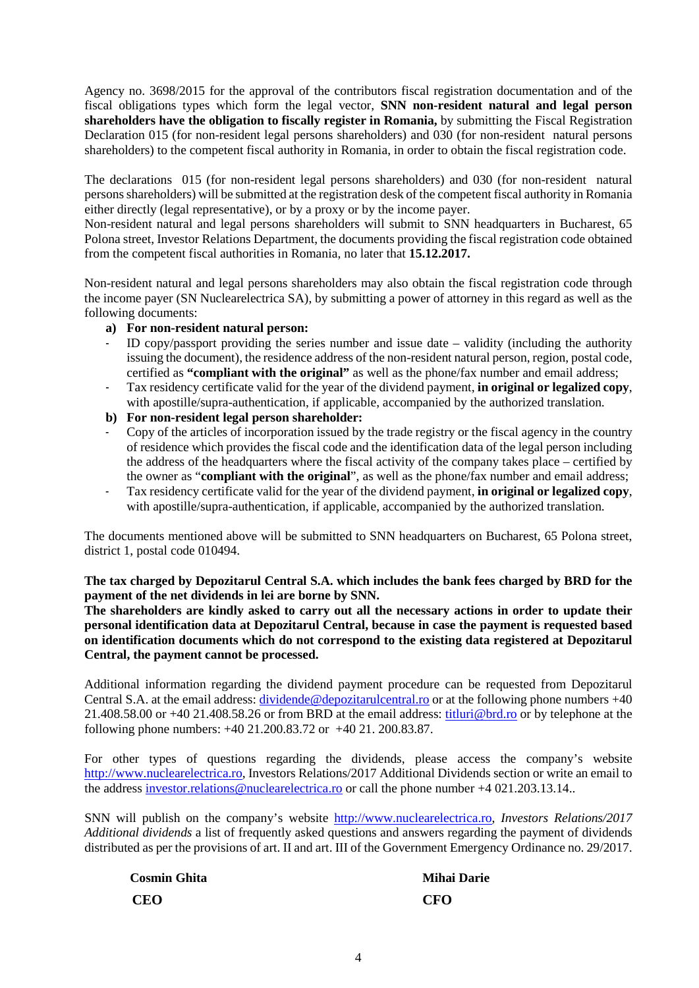Agency no. 3698/2015 for the approval of the contributors fiscal registration documentation and of the fiscal obligations types which form the legal vector, **SNN non-resident natural and legal person shareholders have the obligation to fiscally register in Romania,** by submitting the Fiscal Registration Declaration 015 (for non-resident legal persons shareholders) and 030 (for non-resident natural persons shareholders) to the competent fiscal authority in Romania, in order to obtain the fiscal registration code.

The declarations 015 (for non-resident legal persons shareholders) and 030 (for non-resident natural persons shareholders) will be submitted at the registration desk of the competent fiscal authority in Romania either directly (legal representative), or by a proxy or by the income payer.

Non-resident natural and legal persons shareholders will submit to SNN headquarters in Bucharest, 65 Polona street, Investor Relations Department, the documents providing the fiscal registration code obtained from the competent fiscal authorities in Romania, no later that **15.12.2017.**

Non-resident natural and legal persons shareholders may also obtain the fiscal registration code through the income payer (SN Nuclearelectrica SA), by submitting a power of attorney in this regard as well as the following documents:

## **a) For non-resident natural person:**

- ID copy/passport providing the series number and issue date validity (including the authority issuing the document), the residence address of the non-resident natural person, region, postal code, certified as **"compliant with the original"** as well as the phone/fax number and email address;
- Tax residency certificate valid for the year of the dividend payment, **in original or legalized copy**, with apostille/supra-authentication, if applicable, accompanied by the authorized translation.
- **b) For non-resident legal person shareholder:**
- Copy of the articles of incorporation issued by the trade registry or the fiscal agency in the country of residence which provides the fiscal code and the identification data of the legal person including the address of the headquarters where the fiscal activity of the company takes place – certified by the owner as "**compliant with the original**", as well as the phone/fax number and email address;
- Tax residency certificate valid for the year of the dividend payment, **in original or legalized copy**, with apostille/supra-authentication, if applicable, accompanied by the authorized translation.

The documents mentioned above will be submitted to SNN headquarters on Bucharest, 65 Polona street, district 1, postal code 010494.

**The tax charged by Depozitarul Central S.A. which includes the bank fees charged by BRD for the payment of the net dividends in lei are borne by SNN.** 

**The shareholders are kindly asked to carry out all the necessary actions in order to update their personal identification data at Depozitarul Central, because in case the payment is requested based on identification documents which do not correspond to the existing data registered at Depozitarul Central, the payment cannot be processed.**

Additional information regarding the dividend payment procedure can be requested from Depozitarul Central S.A. at the email address: *dividende@depozitarulcentral.ro* or at the following phone numbers +40 21.408.58.00 or +40 21.408.58.26 or from BRD at the email address: [titluri@brd.ro](mailto:titluri@brd.ro) or by telephone at the following phone numbers: +40 21.200.83.72 or +40 21. 200.83.87.

For other types of questions regarding the dividends, please access the company's website [http://www.nuclearelectrica.ro,](http://www.nuclearelectrica.ro/) Investors Relations/2017 Additional Dividends section or write an email to the address [investor.relations@nuclearelectrica.ro](mailto:investors.relations@nuclearelectrica.ro) or call the phone number +4 021.203.13.14..

SNN will publish on the company's website [http://www.nuclearelectrica.ro,](http://www.nuclearelectrica.ro/) *Investors Relations/2017 Additional dividends* a list of frequently asked questions and answers regarding the payment of dividends distributed as per the provisions of art. II and art. III of the Government Emergency Ordinance no. 29/2017.

| <b>Cosmin Ghita</b> | Miha       |
|---------------------|------------|
| <b>CEO</b>          | <b>CFO</b> |

**Mihai Darie**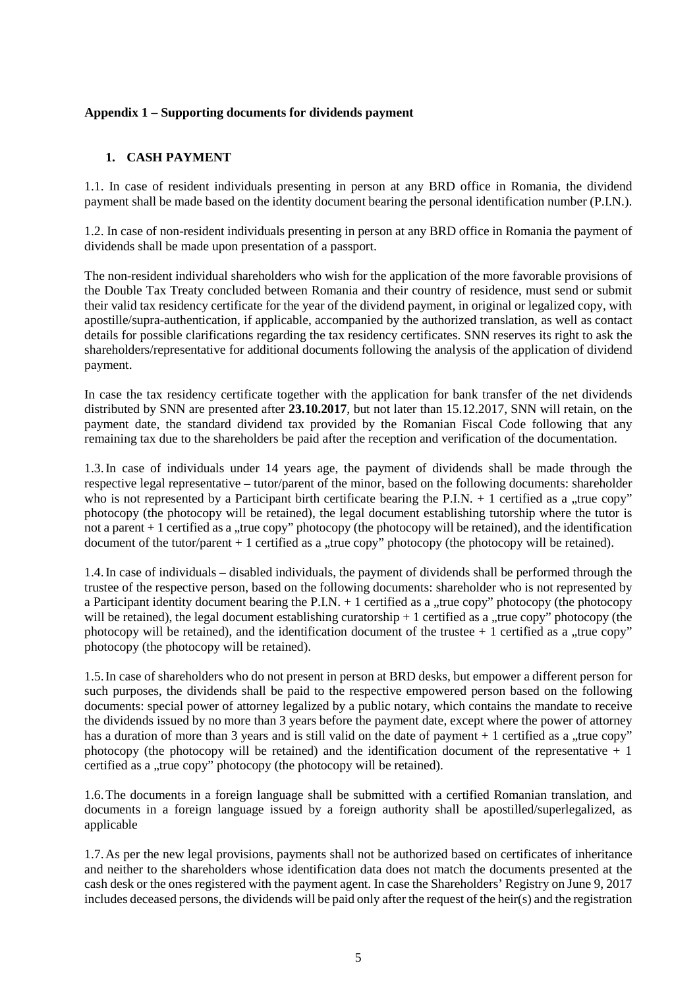## **Appendix 1 – Supporting documents for dividends payment**

# **1. CASH PAYMENT**

1.1. In case of resident individuals presenting in person at any BRD office in Romania, the dividend payment shall be made based on the identity document bearing the personal identification number (P.I.N.).

1.2. In case of non-resident individuals presenting in person at any BRD office in Romania the payment of dividends shall be made upon presentation of a passport.

The non-resident individual shareholders who wish for the application of the more favorable provisions of the Double Tax Treaty concluded between Romania and their country of residence, must send or submit their valid tax residency certificate for the year of the dividend payment, in original or legalized copy, with apostille/supra-authentication, if applicable, accompanied by the authorized translation, as well as contact details for possible clarifications regarding the tax residency certificates. SNN reserves its right to ask the shareholders/representative for additional documents following the analysis of the application of dividend payment.

In case the tax residency certificate together with the application for bank transfer of the net dividends distributed by SNN are presented after **23.10.2017**, but not later than 15.12.2017, SNN will retain, on the payment date, the standard dividend tax provided by the Romanian Fiscal Code following that any remaining tax due to the shareholders be paid after the reception and verification of the documentation.

1.3.In case of individuals under 14 years age, the payment of dividends shall be made through the respective legal representative – tutor/parent of the minor, based on the following documents: shareholder who is not represented by a Participant birth certificate bearing the P.I.N.  $+$  1 certified as a "true copy" photocopy (the photocopy will be retained), the legal document establishing tutorship where the tutor is not a parent  $+1$  certified as a "true copy" photocopy (the photocopy will be retained), and the identification document of the tutor/parent  $+1$  certified as a "true copy" photocopy (the photocopy will be retained).

1.4.In case of individuals – disabled individuals, the payment of dividends shall be performed through the trustee of the respective person, based on the following documents: shareholder who is not represented by a Participant identity document bearing the P.I.N.  $+$  1 certified as a "true copy" photocopy (the photocopy will be retained), the legal document establishing curatorship  $+1$  certified as a "true copy" photocopy (the photocopy will be retained), and the identification document of the trustee  $+1$  certified as a "true copy" photocopy (the photocopy will be retained).

1.5.In case of shareholders who do not present in person at BRD desks, but empower a different person for such purposes, the dividends shall be paid to the respective empowered person based on the following documents: special power of attorney legalized by a public notary, which contains the mandate to receive the dividends issued by no more than 3 years before the payment date, except where the power of attorney has a duration of more than 3 years and is still valid on the date of payment  $+1$  certified as a "true copy" photocopy (the photocopy will be retained) and the identification document of the representative  $+1$ certified as a "true copy" photocopy (the photocopy will be retained).

1.6.The documents in a foreign language shall be submitted with a certified Romanian translation, and documents in a foreign language issued by a foreign authority shall be apostilled/superlegalized, as applicable

1.7.As per the new legal provisions, payments shall not be authorized based on certificates of inheritance and neither to the shareholders whose identification data does not match the documents presented at the cash desk or the ones registered with the payment agent. In case the Shareholders' Registry on June 9, 2017 includes deceased persons, the dividends will be paid only after the request of the heir(s) and the registration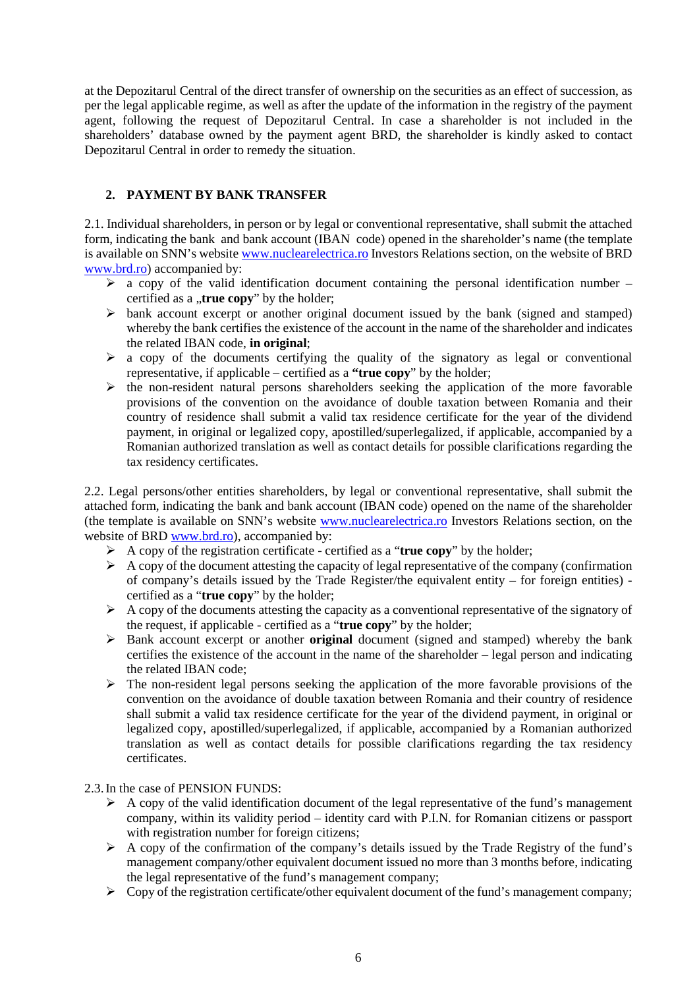at the Depozitarul Central of the direct transfer of ownership on the securities as an effect of succession, as per the legal applicable regime, as well as after the update of the information in the registry of the payment agent, following the request of Depozitarul Central. In case a shareholder is not included in the shareholders' database owned by the payment agent BRD, the shareholder is kindly asked to contact Depozitarul Central in order to remedy the situation.

# **2. PAYMENT BY BANK TRANSFER**

2.1. Individual shareholders, in person or by legal or conventional representative, shall submit the attached form, indicating the bank and bank account (IBAN code) opened in the shareholder's name (the template is available on SNN's websit[e www.nuclearelectrica.ro](http://www.nuclearelectrica.ro/) Investors Relations section, on the website of BRD [www.brd.ro\)](http://www.brd.ro/) accompanied by:

- $\triangleright$  a copy of the valid identification document containing the personal identification number certified as a "true copy" by the holder;
- $\triangleright$  bank account excerpt or another original document issued by the bank (signed and stamped) whereby the bank certifies the existence of the account in the name of the shareholder and indicates the related IBAN code, **in original**;
- $\triangleright$  a copy of the documents certifying the quality of the signatory as legal or conventional representative, if applicable – certified as a **"true copy**" by the holder;
- $\triangleright$  the non-resident natural persons shareholders seeking the application of the more favorable provisions of the convention on the avoidance of double taxation between Romania and their country of residence shall submit a valid tax residence certificate for the year of the dividend payment, in original or legalized copy, apostilled/superlegalized, if applicable, accompanied by a Romanian authorized translation as well as contact details for possible clarifications regarding the tax residency certificates.

2.2. Legal persons/other entities shareholders, by legal or conventional representative, shall submit the attached form, indicating the bank and bank account (IBAN code) opened on the name of the shareholder (the template is available on SNN's website [www.nuclearelectrica.ro](http://www.nuclearelectrica.ro/) Investors Relations section, on the website of BRD [www.brd.ro\)](http://www.brd.ro/), accompanied by:

- A copy of the registration certificate certified as a "**true copy**" by the holder;
- $\triangleright$  A copy of the document attesting the capacity of legal representative of the company (confirmation of company's details issued by the Trade Register/the equivalent entity – for foreign entities) certified as a "**true copy**" by the holder;
- $\triangleright$  A copy of the documents attesting the capacity as a conventional representative of the signatory of the request, if applicable - certified as a "**true copy**" by the holder;
- Bank account excerpt or another **original** document (signed and stamped) whereby the bank certifies the existence of the account in the name of the shareholder – legal person and indicating the related IBAN code;
- $\triangleright$  The non-resident legal persons seeking the application of the more favorable provisions of the convention on the avoidance of double taxation between Romania and their country of residence shall submit a valid tax residence certificate for the year of the dividend payment, in original or legalized copy, apostilled/superlegalized, if applicable, accompanied by a Romanian authorized translation as well as contact details for possible clarifications regarding the tax residency certificates.

2.3.In the case of PENSION FUNDS:

- $\triangleright$  A copy of the valid identification document of the legal representative of the fund's management company, within its validity period – identity card with P.I.N. for Romanian citizens or passport with registration number for foreign citizens;
- $\triangleright$  A copy of the confirmation of the company's details issued by the Trade Registry of the fund's management company/other equivalent document issued no more than 3 months before, indicating the legal representative of the fund's management company;
- $\triangleright$  Copy of the registration certificate/other equivalent document of the fund's management company;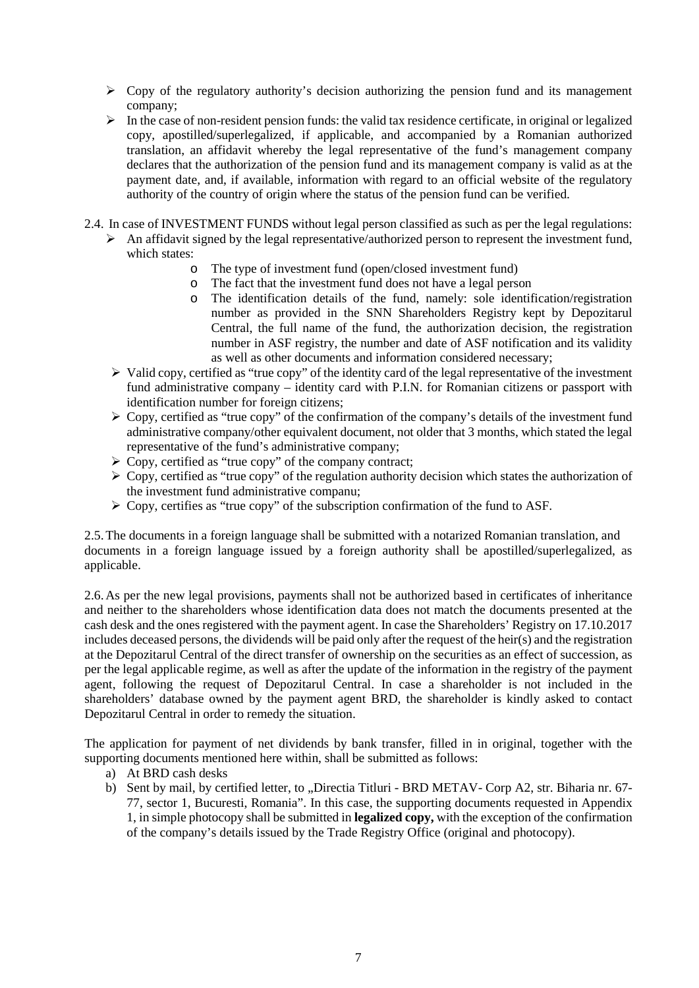- $\triangleright$  Copy of the regulatory authority's decision authorizing the pension fund and its management company;
- $\triangleright$  In the case of non-resident pension funds: the valid tax residence certificate, in original or legalized copy, apostilled/superlegalized, if applicable, and accompanied by a Romanian authorized translation, an affidavit whereby the legal representative of the fund's management company declares that the authorization of the pension fund and its management company is valid as at the payment date, and, if available, information with regard to an official website of the regulatory authority of the country of origin where the status of the pension fund can be verified.
- 2.4. In case of INVESTMENT FUNDS without legal person classified as such as per the legal regulations:  $\triangleright$  An affidavit signed by the legal representative/authorized person to represent the investment fund,
	- which states:
		- o The type of investment fund (open/closed investment fund)
		- The fact that the investment fund does not have a legal person
		- o The identification details of the fund, namely: sole identification/registration number as provided in the SNN Shareholders Registry kept by Depozitarul Central, the full name of the fund, the authorization decision, the registration number in ASF registry, the number and date of ASF notification and its validity as well as other documents and information considered necessary;
	- $\triangleright$  Valid copy, certified as "true copy" of the identity card of the legal representative of the investment fund administrative company – identity card with P.I.N. for Romanian citizens or passport with identification number for foreign citizens;
	- $\triangleright$  Copy, certified as "true copy" of the confirmation of the company's details of the investment fund administrative company/other equivalent document, not older that 3 months, which stated the legal representative of the fund's administrative company;
	- $\triangleright$  Copy, certified as "true copy" of the company contract;
	- $\triangleright$  Copy, certified as "true copy" of the regulation authority decision which states the authorization of the investment fund administrative companu;
	- $\triangleright$  Copy, certifies as "true copy" of the subscription confirmation of the fund to ASF.

2.5.The documents in a foreign language shall be submitted with a notarized Romanian translation, and documents in a foreign language issued by a foreign authority shall be apostilled/superlegalized, as applicable.

2.6.As per the new legal provisions, payments shall not be authorized based in certificates of inheritance and neither to the shareholders whose identification data does not match the documents presented at the cash desk and the ones registered with the payment agent. In case the Shareholders' Registry on 17.10.2017 includes deceased persons, the dividends will be paid only after the request of the heir(s) and the registration at the Depozitarul Central of the direct transfer of ownership on the securities as an effect of succession, as per the legal applicable regime, as well as after the update of the information in the registry of the payment agent, following the request of Depozitarul Central. In case a shareholder is not included in the shareholders' database owned by the payment agent BRD, the shareholder is kindly asked to contact Depozitarul Central in order to remedy the situation.

The application for payment of net dividends by bank transfer, filled in in original, together with the supporting documents mentioned here within, shall be submitted as follows:

- a) At BRD cash desks
- b) Sent by mail, by certified letter, to "Directia Titluri BRD METAV- Corp A2, str. Biharia nr. 67-77, sector 1, Bucuresti, Romania". In this case, the supporting documents requested in Appendix 1, in simple photocopy shall be submitted in **legalized copy,** with the exception of the confirmation of the company's details issued by the Trade Registry Office (original and photocopy).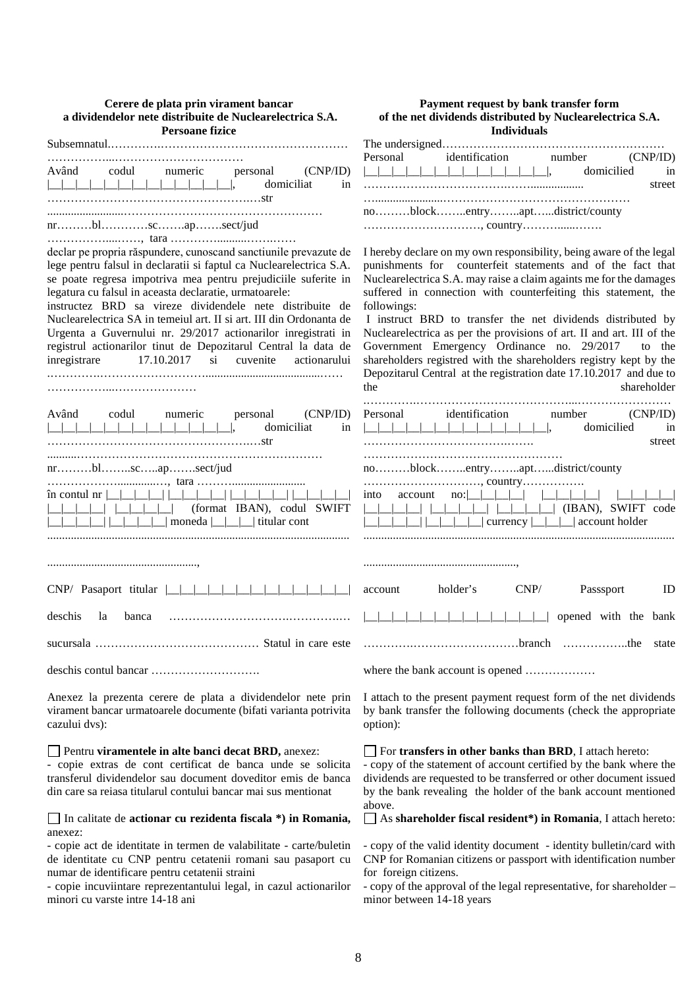| Cerere de plata prin virament bancar<br>a dividendelor nete distribuite de Nuclearelectrica S.A.<br><b>Persoane fizice</b>                                                                                                                                                                                                                                                                                                                                                                                                                                                                                    | Payment request by bank transfer form<br>of the net dividends distributed by Nuclearelectrica S.A.<br><b>Individuals</b>                                                                                                                                                                                                                                                                                                                                                                                                                                                                                                                                   |
|---------------------------------------------------------------------------------------------------------------------------------------------------------------------------------------------------------------------------------------------------------------------------------------------------------------------------------------------------------------------------------------------------------------------------------------------------------------------------------------------------------------------------------------------------------------------------------------------------------------|------------------------------------------------------------------------------------------------------------------------------------------------------------------------------------------------------------------------------------------------------------------------------------------------------------------------------------------------------------------------------------------------------------------------------------------------------------------------------------------------------------------------------------------------------------------------------------------------------------------------------------------------------------|
|                                                                                                                                                                                                                                                                                                                                                                                                                                                                                                                                                                                                               |                                                                                                                                                                                                                                                                                                                                                                                                                                                                                                                                                                                                                                                            |
| (CNP/ID)<br>Având<br>codul numeric<br>personal<br><u>__ __ __ __ __ __ __ __ __ __ __ __ </u> __ ,<br>domiciliat<br>in                                                                                                                                                                                                                                                                                                                                                                                                                                                                                        | Personal<br>identification number<br>(CNP/ID)<br>$\begin{array}{c} \boxed{\phantom{0}} \end{array} \begin{array}{c} \boxed{\phantom{0}} \end{array}$<br><u>__ __ __ __ __ __ __ __ </u> __ ,<br>domicilied<br>in<br>street                                                                                                                                                                                                                                                                                                                                                                                                                                 |
|                                                                                                                                                                                                                                                                                                                                                                                                                                                                                                                                                                                                               | noblockentryaptdistrict/county                                                                                                                                                                                                                                                                                                                                                                                                                                                                                                                                                                                                                             |
| declar pe propria răspundere, cunoscand sanctiunile prevazute de<br>lege pentru falsul in declaratii si faptul ca Nuclearelectrica S.A.<br>se poate regresa impotriva mea pentru prejudiciile suferite in<br>legatura cu falsul in aceasta declaratie, urmatoarele:<br>instructez BRD sa vireze dividendele nete distribuite de<br>Nuclearelectrica SA in temeiul art. II si art. III din Ordonanta de<br>Urgenta a Guvernului nr. 29/2017 actionarilor inregistrati in<br>registrul actionarilor tinut de Depozitarul Central la data de<br>17.10.2017<br>$\sin$<br>inregistrare<br>cuvenite<br>actionarului | I hereby declare on my own responsibility, being aware of the legal<br>punishments for counterfeit statements and of the fact that<br>Nuclearelectrica S.A. may raise a claim againts me for the damages<br>suffered in connection with counterfeiting this statement, the<br>followings:<br>I instruct BRD to transfer the net dividends distributed by<br>Nuclearelectrica as per the provisions of art. II and art. III of the<br>Government Emergency Ordinance no. 29/2017<br>to the<br>shareholders registred with the shareholders registry kept by the<br>Depozitarul Central at the registration date 17.10.2017 and due to<br>shareholder<br>the |
| Având<br>codul<br>(CNP/ID)<br>numeric<br>personal<br>domiciliat<br>in<br>$nr$ blscapsect/jud<br><u> La Partido de la partido de la partido de la partido de la partido de la partido de la partido de la partido </u><br>$\hat{m}$ contul nr $\vert \vert \vert$<br>(format IBAN), codul SWIFT                                                                                                                                                                                                                                                                                                                | identification number<br>(CNP/ID)<br>Personal<br>__ __ __ __ __ __ __ __ __ __ __ __ ,<br>domicilied<br>in<br>street<br>noblockentryaptdistrict/county<br>into<br>$\Box$   $\Box$   $\Box$   $\Box$   $\Box$   $\Box$   $\Box$   $\Box$   $\Box$   $\Box$   $\Box$   $\Box$   $\Box$   $\Box$   $\Box$   $\Box$   $\Box$   $\Box$   $\Box$   $\Box$   $\Box$   $\Box$   $\Box$   $\Box$   $\Box$   $\Box$   $\Box$   $\Box$   $\Box$   $\Box$   $\Box$   $\Box$                                                                                                                                                                                            |
|                                                                                                                                                                                                                                                                                                                                                                                                                                                                                                                                                                                                               |                                                                                                                                                                                                                                                                                                                                                                                                                                                                                                                                                                                                                                                            |
| $CNP/$ Pasaport titular $\boxed{\_}$                                                                                                                                                                                                                                                                                                                                                                                                                                                                                                                                                                          | CNP/<br>holder's<br>Passsport<br>ID<br>account                                                                                                                                                                                                                                                                                                                                                                                                                                                                                                                                                                                                             |
| deschis la banca                                                                                                                                                                                                                                                                                                                                                                                                                                                                                                                                                                                              | opened with the bank                                                                                                                                                                                                                                                                                                                                                                                                                                                                                                                                                                                                                                       |
|                                                                                                                                                                                                                                                                                                                                                                                                                                                                                                                                                                                                               | state                                                                                                                                                                                                                                                                                                                                                                                                                                                                                                                                                                                                                                                      |
|                                                                                                                                                                                                                                                                                                                                                                                                                                                                                                                                                                                                               | where the bank account is opened                                                                                                                                                                                                                                                                                                                                                                                                                                                                                                                                                                                                                           |
| Anexez la prezenta cerere de plata a dividendelor nete prin<br>virament bancar urmatoarele documente (bifati varianta potrivita<br>cazului dvs):                                                                                                                                                                                                                                                                                                                                                                                                                                                              | I attach to the present payment request form of the net dividends<br>by bank transfer the following documents (check the appropriate<br>option):                                                                                                                                                                                                                                                                                                                                                                                                                                                                                                           |
| Pentru viramentele in alte banci decat BRD, anexez:<br>- copie extras de cont certificat de banca unde se solicita<br>transferul dividendelor sau document doveditor emis de banca<br>din care sa reiasa titularul contului bancar mai sus mentionat                                                                                                                                                                                                                                                                                                                                                          | For transfers in other banks than BRD, I attach hereto:<br>- copy of the statement of account certified by the bank where the<br>dividends are requested to be transferred or other document issued<br>by the bank revealing the holder of the bank account mentioned<br>above.                                                                                                                                                                                                                                                                                                                                                                            |

In calitate de **actionar cu rezidenta fiscala \*) in Romania,** anexez:

- copie act de identitate in termen de valabilitate - carte/buletin de identitate cu CNP pentru cetatenii romani sau pasaport cu numar de identificare pentru cetatenii straini

- copie incuviintare reprezentantului legal, in cazul actionarilor minori cu varste intre 14-18 ani

As **shareholder fiscal resident\*) in Romania**, I attach hereto:

- copy of the valid identity document - identity bulletin/card with CNP for Romanian citizens or passport with identification number for foreign citizens.

- copy of the approval of the legal representative, for shareholder – minor between 14-18 years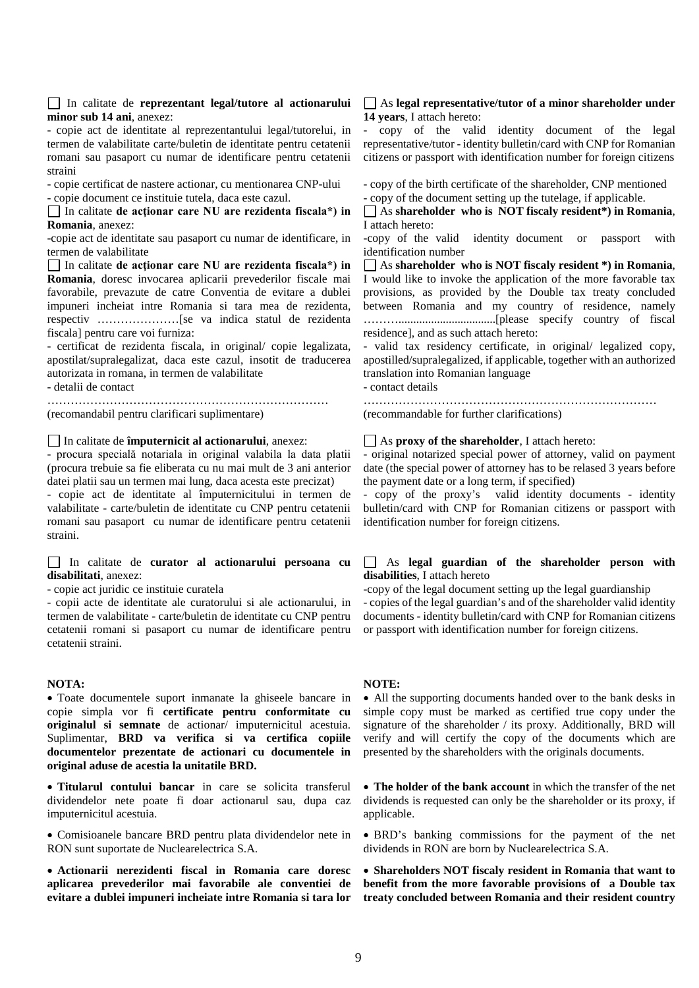#### In calitate de **reprezentant legal/tutore al actionarului minor sub 14 ani**, anexez:

- copie act de identitate al reprezentantului legal/tutorelui, in termen de valabilitate carte/buletin de identitate pentru cetatenii romani sau pasaport cu numar de identificare pentru cetatenii straini

- copie certificat de nastere actionar, cu mentionarea CNP-ului - copie document ce instituie tutela, daca este cazul.

In calitate **de acţionar care NU are rezidenta fiscala\*) in Romania**, anexez:

-copie act de identitate sau pasaport cu numar de identificare, in termen de valabilitate

In calitate **de acţionar care NU are rezidenta fiscala\*) in Romania**, doresc invocarea aplicarii prevederilor fiscale mai favorabile, prevazute de catre Conventia de evitare a dublei impuneri incheiat intre Romania si tara mea de rezidenta, respectiv …………………[se va indica statul de rezidenta fiscala] pentru care voi furniza:

- certificat de rezidenta fiscala, in original/ copie legalizata, apostilat/supralegalizat, daca este cazul, insotit de traducerea autorizata in romana, in termen de valabilitate

- detalii de contact

……………………………………………………………… (recomandabil pentru clarificari suplimentare)

In calitate de **împuternicit al actionarului**, anexez:

- procura specială notariala in original valabila la data platii (procura trebuie sa fie eliberata cu nu mai mult de 3 ani anterior datei platii sau un termen mai lung, daca acesta este precizat)

- copie act de identitate al împuternicitului in termen de valabilitate - carte/buletin de identitate cu CNP pentru cetatenii romani sau pasaport cu numar de identificare pentru cetatenii straini.

In calitate de **curator al actionarului persoana cu disabilitati**, anexez:

- copie act juridic ce instituie curatela

- copii acte de identitate ale curatorului si ale actionarului, in termen de valabilitate - carte/buletin de identitate cu CNP pentru cetatenii romani si pasaport cu numar de identificare pentru cetatenii straini.

#### **NOTA:**

• Toate documentele suport inmanate la ghiseele bancare in copie simpla vor fi **certificate pentru conformitate cu originalul si semnate** de actionar/ imputernicitul acestuia. Suplimentar, **BRD va verifica si va certifica copiile documentelor prezentate de actionari cu documentele in original aduse de acestia la unitatile BRD.**

• **Titularul contului bancar** in care se solicita transferul dividendelor nete poate fi doar actionarul sau, dupa caz imputernicitul acestuia.

• Comisioanele bancare BRD pentru plata dividendelor nete in RON sunt suportate de Nuclearelectrica S.A.

• **Actionarii nerezidenti fiscal in Romania care doresc aplicarea prevederilor mai favorabile ale conventiei de evitare a dublei impuneri incheiate intre Romania si tara lor** 

### As **legal representative/tutor of a minor shareholder under 14 years**, I attach hereto:

- copy of the valid identity document of the legal representative/tutor - identity bulletin/card with CNP for Romanian citizens or passport with identification number for foreign citizens

- copy of the birth certificate of the shareholder, CNP mentioned - copy of the document setting up the tutelage, if applicable.

As **shareholder who is NOT fiscaly resident\*) in Romania**, I attach hereto:

-copy of the valid identity document or passport with identification number

As **shareholder who is NOT fiscaly resident \*) in Romania**, I would like to invoke the application of the more favorable tax provisions, as provided by the Double tax treaty concluded between Romania and my country of residence, namely ……….................................[please specify country of fiscal residence], and as such attach hereto:

- valid tax residency certificate, in original/ legalized copy, apostilled/supralegalized, if applicable, together with an authorized translation into Romanian language

- contact details

…………………………………………………………………

(recommandable for further clarifications)

### As **proxy of the shareholder**, I attach hereto:

- original notarized special power of attorney, valid on payment date (the special power of attorney has to be relased 3 years before the payment date or a long term, if specified)

- copy of the proxy's valid identity documents - identity bulletin/card with CNP for Romanian citizens or passport with identification number for foreign citizens.

## As **legal guardian of the shareholder person with disabilities**, I attach hereto

-copy of the legal document setting up the legal guardianship - copies of the legal guardian's and of the shareholder valid identity documents - identity bulletin/card with CNP for Romanian citizens or passport with identification number for foreign citizens.

### **NOTE:**

• All the supporting documents handed over to the bank desks in simple copy must be marked as certified true copy under the signature of the shareholder / its proxy. Additionally, BRD will verify and will certify the copy of the documents which are presented by the shareholders with the originals documents.

• **The holder of the bank account** in which the transfer of the net dividends is requested can only be the shareholder or its proxy, if applicable.

• BRD's banking commissions for the payment of the net dividends in RON are born by Nuclearelectrica S.A.

• **Shareholders NOT fiscaly resident in Romania that want to benefit from the more favorable provisions of a Double tax treaty concluded between Romania and their resident country**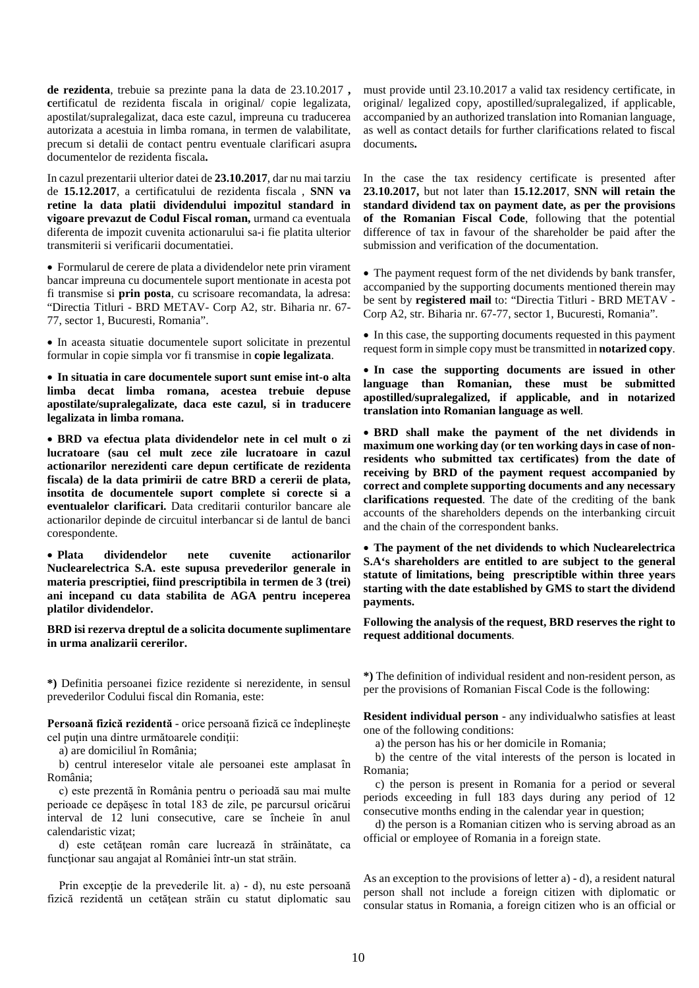**de rezidenta**, trebuie sa prezinte pana la data de 23.10.2017 **, c**ertificatul de rezidenta fiscala in original/ copie legalizata, apostilat/supralegalizat, daca este cazul, impreuna cu traducerea autorizata a acestuia in limba romana, in termen de valabilitate, precum si detalii de contact pentru eventuale clarificari asupra documentelor de rezidenta fiscala**.**

In cazul prezentarii ulterior datei de **23.10.2017**, dar nu mai tarziu de **15.12.2017**, a certificatului de rezidenta fiscala , **SNN va retine la data platii dividendului impozitul standard in vigoare prevazut de Codul Fiscal roman,** urmand ca eventuala diferenta de impozit cuvenita actionarului sa-i fie platita ulterior transmiterii si verificarii documentatiei.

• Formularul de cerere de plata a dividendelor nete prin virament bancar impreuna cu documentele suport mentionate in acesta pot fi transmise si **prin posta**, cu scrisoare recomandata, la adresa: "Directia Titluri - BRD METAV- Corp A2, str. Biharia nr. 67- 77, sector 1, Bucuresti, Romania".

• In aceasta situatie documentele suport solicitate in prezentul formular in copie simpla vor fi transmise in **copie legalizata**.

• **In situatia in care documentele suport sunt emise int-o alta limba decat limba romana, acestea trebuie depuse apostilate/supralegalizate, daca este cazul, si in traducere legalizata in limba romana.**

• **BRD va efectua plata dividendelor nete in cel mult o zi lucratoare (sau cel mult zece zile lucratoare in cazul actionarilor nerezidenti care depun certificate de rezidenta fiscala) de la data primirii de catre BRD a cererii de plata, insotita de documentele suport complete si corecte si a eventualelor clarificari.** Data creditarii conturilor bancare ale actionarilor depinde de circuitul interbancar si de lantul de banci corespondente.

• **Plata dividendelor nete cuvenite actionarilor Nuclearelectrica S.A. este supusa prevederilor generale in materia prescriptiei, fiind prescriptibila in termen de 3 (trei) ani incepand cu data stabilita de AGA pentru inceperea platilor dividendelor.**

**BRD isi rezerva dreptul de a solicita documente suplimentare in urma analizarii cererilor.**

**\*)** Definitia persoanei fizice rezidente si nerezidente, in sensul prevederilor Codului fiscal din Romania, este:

**Persoană fizică rezidentă** - orice persoană fizică ce îndeplineşte cel puţin una dintre următoarele condiţii:

a) are domiciliul în România;

 b) centrul intereselor vitale ale persoanei este amplasat în România;

 c) este prezentă în România pentru o perioadă sau mai multe perioade ce depăşesc în total 183 de zile, pe parcursul oricărui interval de 12 luni consecutive, care se încheie în anul calendaristic vizat;

 d) este cetăţean român care lucrează în străinătate, ca funcţionar sau angajat al României într-un stat străin.

Prin excepție de la prevederile lit. a) - d), nu este persoană fizică rezidentă un cetătean străin cu statut diplomatic sau must provide until 23.10.2017 a valid tax residency certificate, in original/ legalized copy, apostilled/supralegalized, if applicable, accompanied by an authorized translation into Romanian language, as well as contact details for further clarifications related to fiscal documents**.**

In the case the tax residency certificate is presented after **23.10.2017,** but not later than **15.12.2017**, **SNN will retain the standard dividend tax on payment date, as per the provisions of the Romanian Fiscal Code**, following that the potential difference of tax in favour of the shareholder be paid after the submission and verification of the documentation.

• The payment request form of the net dividends by bank transfer, accompanied by the supporting documents mentioned therein may be sent by **registered mail** to: "Directia Titluri - BRD METAV - Corp A2, str. Biharia nr. 67-77, sector 1, Bucuresti, Romania".

• In this case, the supporting documents requested in this payment request form in simple copy must be transmitted in **notarized copy**.

• **In case the supporting documents are issued in other language than Romanian, these must be submitted apostilled/supralegalized, if applicable, and in notarized translation into Romanian language as well**.

• **BRD shall make the payment of the net dividends in maximum one working day (or ten working days in case of nonresidents who submitted tax certificates) from the date of receiving by BRD of the payment request accompanied by correct and complete supporting documents and any necessary clarifications requested**. The date of the crediting of the bank accounts of the shareholders depends on the interbanking circuit and the chain of the correspondent banks.

• **The payment of the net dividends to which Nuclearelectrica S.A's shareholders are entitled to are subject to the general statute of limitations, being prescriptible within three years starting with the date established by GMS to start the dividend payments.**

**Following the analysis of the request, BRD reserves the right to request additional documents**.

**\*)** The definition of individual resident and non-resident person, as per the provisions of Romanian Fiscal Code is the following:

**Resident individual person** - any individualwho satisfies at least one of the following conditions:

a) the person has his or her domicile in Romania;

 b) the centre of the vital interests of the person is located in Romania;

 c) the person is present in Romania for a period or several periods exceeding in full 183 days during any period of 12 consecutive months ending in the calendar year in question;

 d) the person is a Romanian citizen who is serving abroad as an official or employee of Romania in a foreign state.

As an exception to the provisions of letter a) - d), a resident natural person shall not include a foreign citizen with diplomatic or consular status in Romania, a foreign citizen who is an official or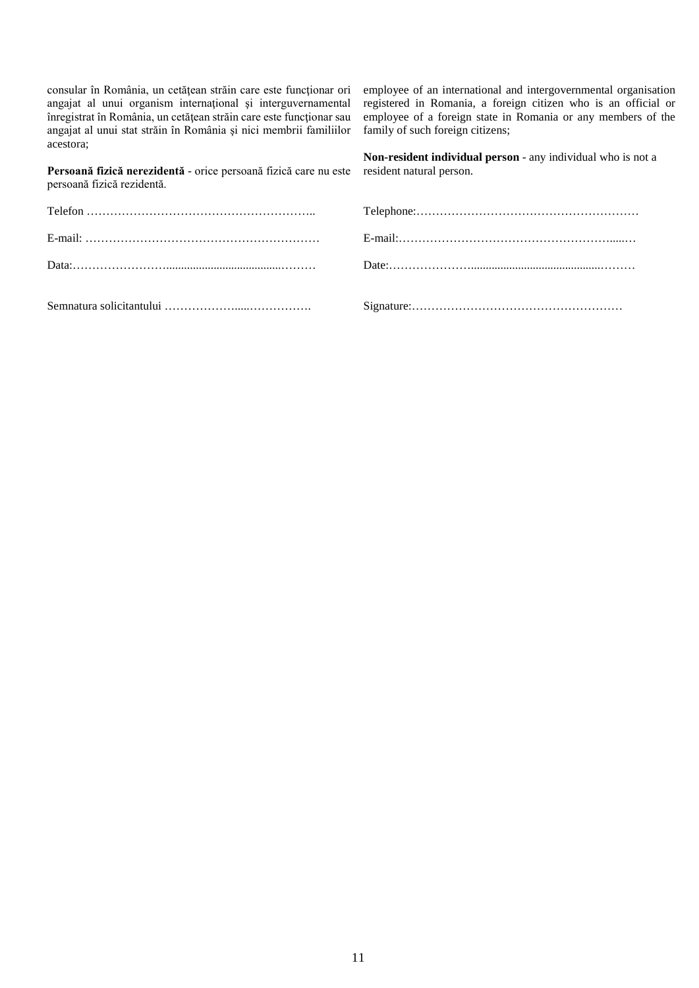consular în România, un cetăţean străin care este funcţionar ori angajat al unui organism internaţional şi interguvernamental înregistrat în România, un cetăţean străin care este funcţionar sau angajat al unui stat străin în România şi nici membrii familiilor acestora;

employee of an international and intergovernmental organisation registered in Romania, a foreign citizen who is an official or employee of a foreign state in Romania or any members of the family of such foreign citizens;

**Persoană fizică nerezidentă** - orice persoană fizică care nu este **Non-resident individual person** - any individual who is not a resident natural person.

| persoană fizică rezidentă. |  |
|----------------------------|--|
|                            |  |
|                            |  |
|                            |  |
|                            |  |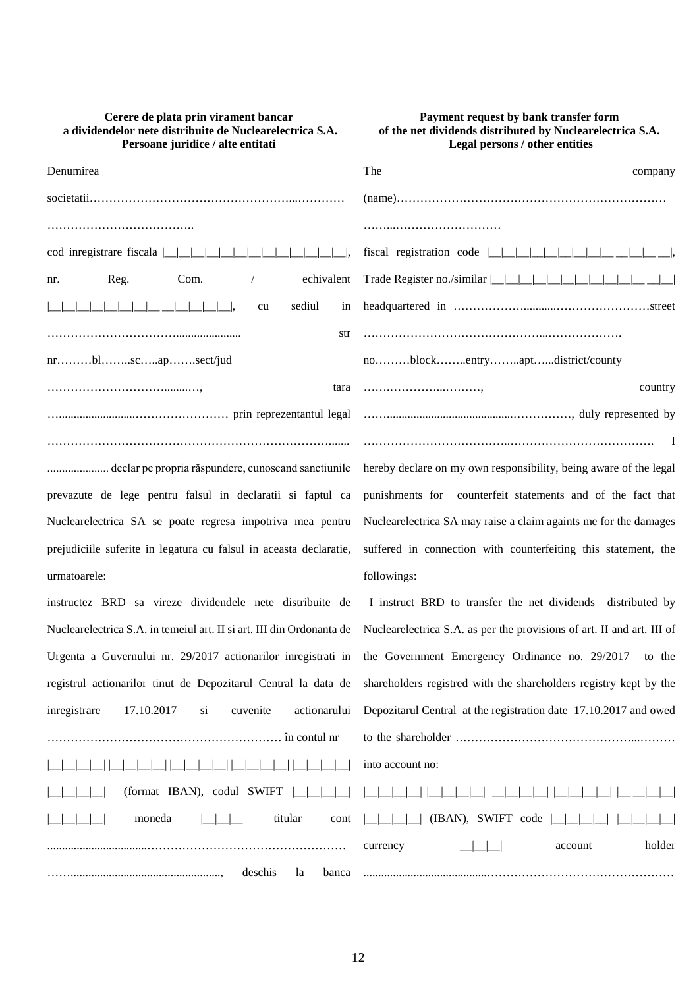|           | Cerere de plata prin virament bancar                     |
|-----------|----------------------------------------------------------|
|           | a dividendelor nete distribuite de Nuclearelectrica S.A. |
|           | Persoane juridice / alte entitati                        |
| Denumirea |                                                          |

| nr. | Reg.             | Com. | $\sqrt{2}$                                                                                                     | echivalent |
|-----|------------------|------|----------------------------------------------------------------------------------------------------------------|------------|
|     |                  |      | cu en la comunita de la comunitat de la comunitat de la comunitat de la comunitat de la comunitat de la comuni | sediul in  |
|     |                  |      |                                                                                                                | str        |
|     | nrblscapsect/jud |      |                                                                                                                |            |
|     |                  |      |                                                                                                                | tara       |
|     |                  |      |                                                                                                                |            |
|     |                  |      |                                                                                                                |            |

..................... declar pe propria răspundere, cunoscand sanctiunile prevazute de lege pentru falsul in declaratii si faptul ca Nuclearelectrica SA se poate regresa impotriva mea pentru prejudiciile suferite in legatura cu falsul in aceasta declaratie, urmatoarele:

instructez BRD sa vireze dividendele nete distribuite d Nuclearelectrica S.A. in temeiul art. II si art. III din Ordonanta d Urgenta a Guvernului nr. 29/2017 actionarilor inregistrati in registrul actionarilor tinut de Depozitarul Central la data de inregistrare 17.10.2017 si cuvenite actionarulu …………………………………………………… în contul nr |\_\_|\_\_|\_\_|\_\_| |\_\_|\_\_|\_\_|\_\_| |\_\_|\_\_|\_\_|\_\_| |\_\_|\_\_|\_\_|\_\_| |\_\_|\_\_|\_\_|\_\_| |\_\_|\_\_|\_\_|\_\_| (format IBAN), codul SWIFT |\_\_|\_\_|\_\_|\_\_|  $| \underline{\hspace{1cm}} |$ ..................................…………………………………………… ……..................................................., deschis la banca

# **Payment request by bank transfer form of the net dividends distributed by Nuclearelectrica S.A. Legal persons / other entities**

| The<br>company                                                    |
|-------------------------------------------------------------------|
|                                                                   |
|                                                                   |
|                                                                   |
|                                                                   |
|                                                                   |
|                                                                   |
| noblockentryaptdistrict/county                                    |
| country                                                           |
|                                                                   |
|                                                                   |
| hereby declare on my own responsibility, being aware of the legal |
|                                                                   |

punishments for counterfeit statements and of the fact that Nuclearelectrica SA may raise a claim againts me for the damages suffered in connection with counterfeiting this statement, the followings:

| le           | I instruct BRD to transfer the net dividends distributed by             |
|--------------|-------------------------------------------------------------------------|
| le           | Nuclear electrica S.A. as per the provisions of art. II and art. III of |
| in           | the Government Emergency Ordinance no. 29/2017 to the                   |
| le           | shareholders registred with the shareholders registry kept by the       |
| цi           | Depozitarul Central at the registration date 17.10.2017 and owed        |
|              |                                                                         |
| $\mathbb{R}$ | into account no:                                                        |
|              |                                                                         |
|              |                                                                         |
|              | holder<br>account<br>currency                                           |

..........................................…………………………………………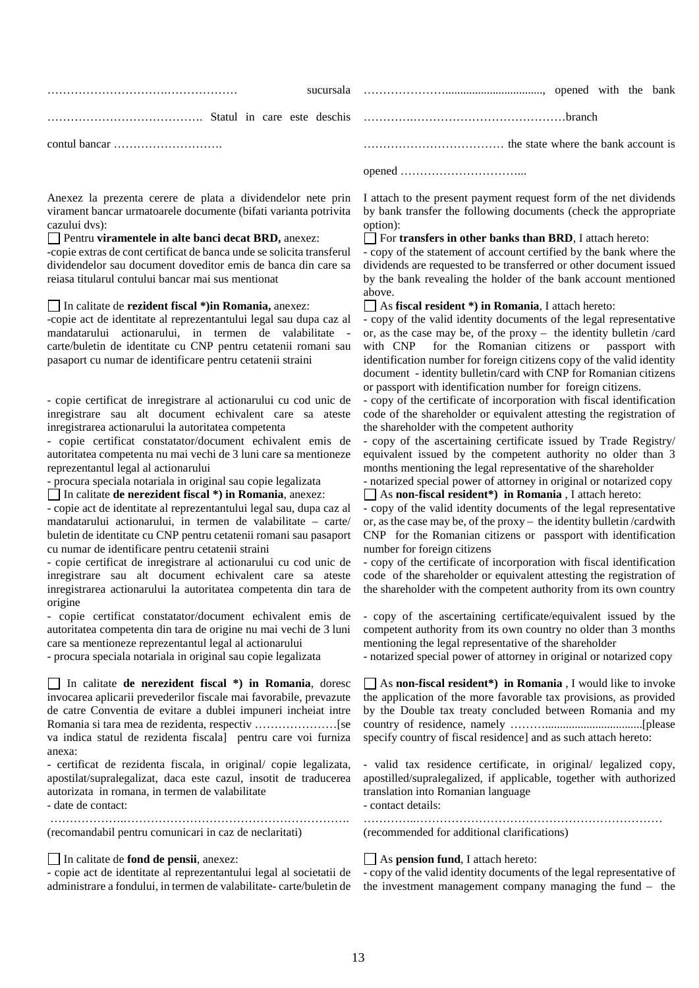Anexez la prezenta cerere de plata a dividendelor nete prin virament bancar urmatoarele documente (bifati varianta potrivita cazului dvs):

## Pentru **viramentele in alte banci decat BRD,** anexez:

-copie extras de cont certificat de banca unde se solicita transferul dividendelor sau document doveditor emis de banca din care sa reiasa titularul contului bancar mai sus mentionat

In calitate de **rezident fiscal \*)in Romania,** anexez:

-copie act de identitate al reprezentantului legal sau dupa caz al mandatarului actionarului, in termen de valabilitate carte/buletin de identitate cu CNP pentru cetatenii romani sau pasaport cu numar de identificare pentru cetatenii straini

- copie certificat de inregistrare al actionarului cu cod unic de inregistrare sau alt document echivalent care sa ateste inregistrarea actionarului la autoritatea competenta

- copie certificat constatator/document echivalent emis de autoritatea competenta nu mai vechi de 3 luni care sa mentioneze reprezentantul legal al actionarului

- procura speciala notariala in original sau copie legalizata

In calitate **de nerezident fiscal \*) in Romania**, anexez:

- copie act de identitate al reprezentantului legal sau, dupa caz al mandatarului actionarului, in termen de valabilitate – carte/ buletin de identitate cu CNP pentru cetatenii romani sau pasaport cu numar de identificare pentru cetatenii straini

- copie certificat de inregistrare al actionarului cu cod unic de inregistrare sau alt document echivalent care sa ateste inregistrarea actionarului la autoritatea competenta din tara de origine

- copie certificat constatator/document echivalent emis de autoritatea competenta din tara de origine nu mai vechi de 3 luni care sa mentioneze reprezentantul legal al actionarului

- procura speciala notariala in original sau copie legalizata

In calitate **de nerezident fiscal \*) in Romania**, doresc invocarea aplicarii prevederilor fiscale mai favorabile, prevazute de catre Conventia de evitare a dublei impuneri incheiat intre Romania si tara mea de rezidenta, respectiv …………………[se va indica statul de rezidenta fiscala] pentru care voi furniza anexa:

- certificat de rezidenta fiscala, in original/ copie legalizata, apostilat/supralegalizat, daca este cazul, insotit de traducerea autorizata in romana, in termen de valabilitate

……………….………………………………………………….

- date de contact:

(recomandabil pentru comunicari in caz de neclaritati)

In calitate de **fond de pensii**, anexez:

- copie act de identitate al reprezentantului legal al societatii de administrare a fondului, in termen de valabilitate- carte/buletin de I attach to the present payment request form of the net dividends by bank transfer the following documents (check the appropriate option):

### For **transfers in other banks than BRD**, I attach hereto:

- copy of the statement of account certified by the bank where the dividends are requested to be transferred or other document issued by the bank revealing the holder of the bank account mentioned above.

As **fiscal resident \*) in Romania**, I attach hereto:

- copy of the valid identity documents of the legal representative or, as the case may be, of the proxy – the identity bulletin /card with CNP for the Romanian citizens or passport with identification number for foreign citizens copy of the valid identity document - identity bulletin/card with CNP for Romanian citizens or passport with identification number for foreign citizens.

- copy of the certificate of incorporation with fiscal identification code of the shareholder or equivalent attesting the registration of the shareholder with the competent authority

- copy of the ascertaining certificate issued by Trade Registry/ equivalent issued by the competent authority no older than 3 months mentioning the legal representative of the shareholder

- notarized special power of attorney in original or notarized copy As **non-fiscal resident\*) in Romania** , I attach hereto:

- copy of the valid identity documents of the legal representative or, as the case may be, of the proxy – the identity bulletin /cardwith CNP for the Romanian citizens or passport with identification number for foreign citizens

- copy of the certificate of incorporation with fiscal identification code of the shareholder or equivalent attesting the registration of the shareholder with the competent authority from its own country

- copy of the ascertaining certificate/equivalent issued by the competent authority from its own country no older than 3 months mentioning the legal representative of the shareholder

- notarized special power of attorney in original or notarized copy

As **non-fiscal resident\*) in Romania** , I would like to invoke the application of the more favorable tax provisions, as provided by the Double tax treaty concluded between Romania and my country of residence, namely ……….................................[please specify country of fiscal residence] and as such attach hereto:

- valid tax residence certificate, in original/ legalized copy, apostilled/supralegalized, if applicable, together with authorized translation into Romanian language - contact details:

…………..……………………………………………………… (recommended for additional clarifications)

As **pension fund**, I attach hereto:

- copy of the valid identity documents of the legal representative of the investment management company managing the fund – the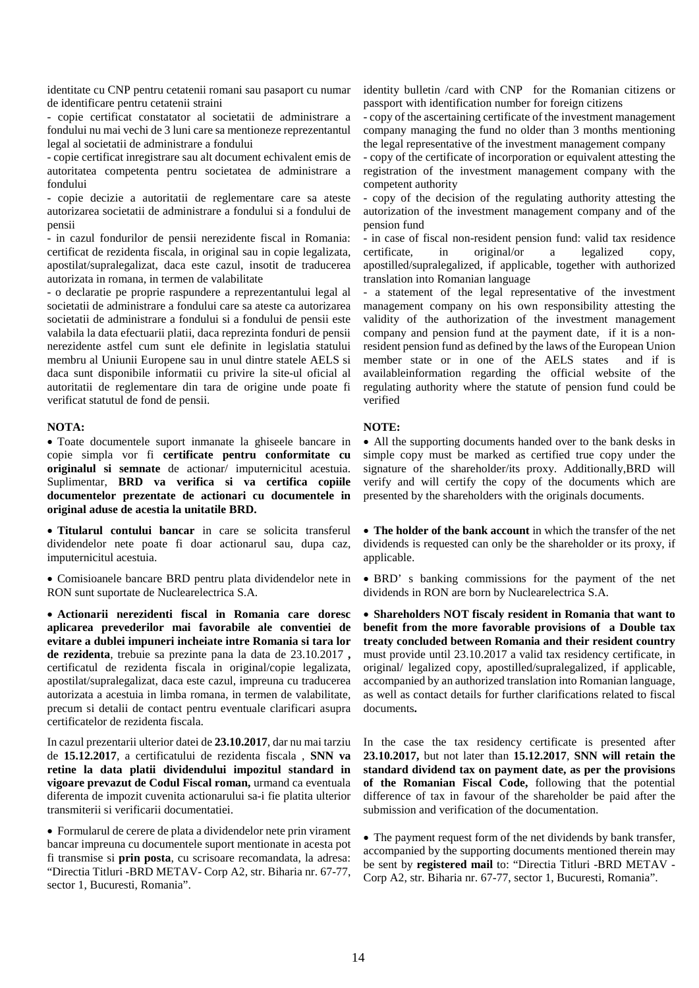identitate cu CNP pentru cetatenii romani sau pasaport cu numar de identificare pentru cetatenii straini

- copie certificat constatator al societatii de administrare a fondului nu mai vechi de 3 luni care sa mentioneze reprezentantul legal al societatii de administrare a fondului

- copie certificat inregistrare sau alt document echivalent emis de autoritatea competenta pentru societatea de administrare a fondului

- copie decizie a autoritatii de reglementare care sa ateste autorizarea societatii de administrare a fondului si a fondului de pensii

- in cazul fondurilor de pensii nerezidente fiscal in Romania: certificat de rezidenta fiscala, in original sau in copie legalizata, apostilat/supralegalizat, daca este cazul, insotit de traducerea autorizata in romana, in termen de valabilitate

- o declaratie pe proprie raspundere a reprezentantului legal al societatii de administrare a fondului care sa ateste ca autorizarea societatii de administrare a fondului si a fondului de pensii este valabila la data efectuarii platii, daca reprezinta fonduri de pensii nerezidente astfel cum sunt ele definite in legislatia statului membru al Uniunii Europene sau in unul dintre statele AELS si daca sunt disponibile informatii cu privire la site-ul oficial al autoritatii de reglementare din tara de origine unde poate fi verificat statutul de fond de pensii.

### **NOTA:**

• Toate documentele suport inmanate la ghiseele bancare in copie simpla vor fi **certificate pentru conformitate cu originalul si semnate** de actionar/ imputernicitul acestuia. Suplimentar, **BRD va verifica si va certifica copiile documentelor prezentate de actionari cu documentele in original aduse de acestia la unitatile BRD.**

• **Titularul contului bancar** in care se solicita transferul dividendelor nete poate fi doar actionarul sau, dupa caz, imputernicitul acestuia.

• Comisioanele bancare BRD pentru plata dividendelor nete in RON sunt suportate de Nuclearelectrica S.A.

• **Actionarii nerezidenti fiscal in Romania care doresc aplicarea prevederilor mai favorabile ale conventiei de evitare a dublei impuneri incheiate intre Romania si tara lor de rezidenta**, trebuie sa prezinte pana la data de 23.10.2017 **,** certificatul de rezidenta fiscala in original/copie legalizata, apostilat/supralegalizat, daca este cazul, impreuna cu traducerea autorizata a acestuia in limba romana, in termen de valabilitate, precum si detalii de contact pentru eventuale clarificari asupra certificatelor de rezidenta fiscala.

In cazul prezentarii ulterior datei de **23.10.2017**, dar nu mai tarziu de **15.12.2017**, a certificatului de rezidenta fiscala , **SNN va retine la data platii dividendului impozitul standard in vigoare prevazut de Codul Fiscal roman,** urmand ca eventuala diferenta de impozit cuvenita actionarului sa-i fie platita ulterior transmiterii si verificarii documentatiei.

• Formularul de cerere de plata a dividendelor nete prin virament bancar impreuna cu documentele suport mentionate in acesta pot fi transmise si **prin posta**, cu scrisoare recomandata, la adresa: "Directia Titluri -BRD METAV- Corp A2, str. Biharia nr. 67-77, sector 1, Bucuresti, Romania".

identity bulletin /card with CNP for the Romanian citizens or passport with identification number for foreign citizens

- copy of the ascertaining certificate of the investment management company managing the fund no older than 3 months mentioning the legal representative of the investment management company

- copy of the certificate of incorporation or equivalent attesting the registration of the investment management company with the competent authority

- copy of the decision of the regulating authority attesting the autorization of the investment management company and of the pension fund

- in case of fiscal non-resident pension fund: valid tax residence<br>certificate, in original/or a legalized copy, in original/or a legalized copy, apostilled/supralegalized, if applicable, together with authorized translation into Romanian language

- a statement of the legal representative of the investment management company on his own responsibility attesting the validity of the authorization of the investment management company and pension fund at the payment date, if it is a nonresident pension fund as defined by the laws of the European Union member state or in one of the AELS states and if is availableinformation regarding the official website of the regulating authority where the statute of pension fund could be verified

## **NOTE:**

• All the supporting documents handed over to the bank desks in simple copy must be marked as certified true copy under the signature of the shareholder/its proxy. Additionally,BRD will verify and will certify the copy of the documents which are presented by the shareholders with the originals documents.

• **The holder of the bank account** in which the transfer of the net dividends is requested can only be the shareholder or its proxy, if applicable.

• BRD' s banking commissions for the payment of the net dividends in RON are born by Nuclearelectrica S.A.

• **Shareholders NOT fiscaly resident in Romania that want to benefit from the more favorable provisions of a Double tax treaty concluded between Romania and their resident country** must provide until 23.10.2017 a valid tax residency certificate, in original/ legalized copy, apostilled/supralegalized, if applicable, accompanied by an authorized translation into Romanian language, as well as contact details for further clarifications related to fiscal documents**.**

In the case the tax residency certificate is presented after **23.10.2017,** but not later than **15.12.2017**, **SNN will retain the standard dividend tax on payment date, as per the provisions of the Romanian Fiscal Code,** following that the potential difference of tax in favour of the shareholder be paid after the submission and verification of the documentation.

• The payment request form of the net dividends by bank transfer, accompanied by the supporting documents mentioned therein may be sent by **registered mail** to: "Directia Titluri -BRD METAV - Corp A2, str. Biharia nr. 67-77, sector 1, Bucuresti, Romania".